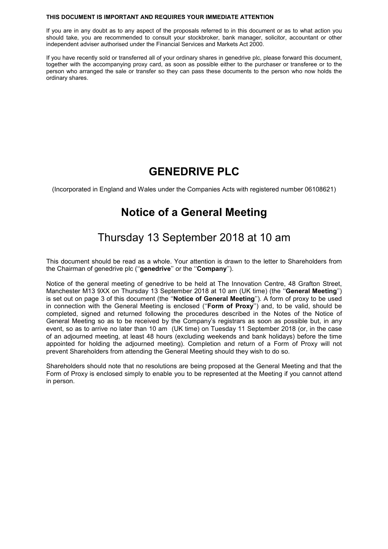#### **THIS DOCUMENT IS IMPORTANT AND REQUIRES YOUR IMMEDIATE ATTENTION**

If you are in any doubt as to any aspect of the proposals referred to in this document or as to what action you should take, you are recommended to consult your stockbroker, bank manager, solicitor, accountant or other independent adviser authorised under the Financial Services and Markets Act 2000.

If you have recently sold or transferred all of your ordinary shares in genedrive plc, please forward this document, together with the accompanying proxy card, as soon as possible either to the purchaser or transferee or to the person who arranged the sale or transfer so they can pass these documents to the person who now holds the ordinary shares.

## **GENEDRIVE PLC**

(Incorporated in England and Wales under the Companies Acts with registered number 06108621)

## **Notice of a General Meeting**

# Thursday 13 September 2018 at 10 am

This document should be read as a whole. Your attention is drawn to the letter to Shareholders from the Chairman of genedrive plc (''**genedrive**'' or the ''**Company**'').

Notice of the general meeting of genedrive to be held at The Innovation Centre, 48 Grafton Street, Manchester M13 9XX on Thursday 13 September 2018 at 10 am (UK time) (the ''**General Meeting**'') is set out on page 3 of this document (the ''**Notice of General Meeting**''). A form of proxy to be used in connection with the General Meeting is enclosed (''**Form of Proxy**'') and, to be valid, should be completed, signed and returned following the procedures described in the Notes of the Notice of General Meeting so as to be received by the Company's registrars as soon as possible but, in any event, so as to arrive no later than 10 am (UK time) on Tuesday 11 September 2018 (or, in the case of an adjourned meeting, at least 48 hours (excluding weekends and bank holidays) before the time appointed for holding the adjourned meeting). Completion and return of a Form of Proxy will not prevent Shareholders from attending the General Meeting should they wish to do so.

Shareholders should note that no resolutions are being proposed at the General Meeting and that the Form of Proxy is enclosed simply to enable you to be represented at the Meeting if you cannot attend in person.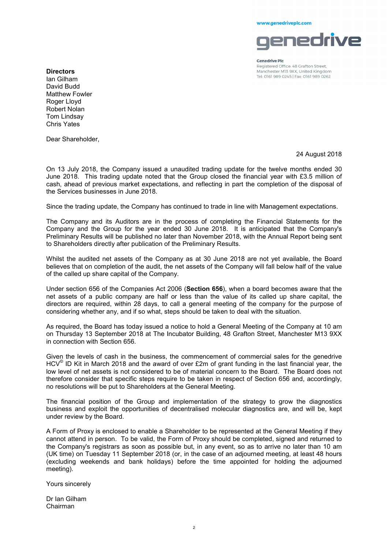www.genedriveplc.com



**Genedrive Plc** 

Registered Office: 48 Grafton Street, Manchester M13 9XX, United Kingdom Tel: 0161 989 0245 | Fax: 0161 989 0262

**Directors**  Ian Gilham David Budd Matthew Fowler Roger Lloyd Robert Nolan Tom Lindsay Chris Yates

Dear Shareholder,

24 August 2018

On 13 July 2018, the Company issued a unaudited trading update for the twelve months ended 30 June 2018. This trading update noted that the Group closed the financial year with £3.5 million of cash, ahead of previous market expectations, and reflecting in part the completion of the disposal of the Services businesses in June 2018.

Since the trading update, the Company has continued to trade in line with Management expectations.

The Company and its Auditors are in the process of completing the Financial Statements for the Company and the Group for the year ended 30 June 2018. It is anticipated that the Company's Preliminary Results will be published no later than November 2018, with the Annual Report being sent to Shareholders directly after publication of the Preliminary Results.

Whilst the audited net assets of the Company as at 30 June 2018 are not yet available, the Board believes that on completion of the audit, the net assets of the Company will fall below half of the value of the called up share capital of the Company.

Under section 656 of the Companies Act 2006 (**Section 656**), when a board becomes aware that the net assets of a public company are half or less than the value of its called up share capital, the directors are required, within 28 days, to call a general meeting of the company for the purpose of considering whether any, and if so what, steps should be taken to deal with the situation.

As required, the Board has today issued a notice to hold a General Meeting of the Company at 10 am on Thursday 13 September 2018 at The Incubator Building, 48 Grafton Street, Manchester M13 9XX in connection with Section 656.

Given the levels of cash in the business, the commencement of commercial sales for the genedrive HCV<sup>©</sup> ID Kit in March 2018 and the award of over £2m of grant funding in the last financial year, the low level of net assets is not considered to be of material concern to the Board. The Board does not therefore consider that specific steps require to be taken in respect of Section 656 and, accordingly, no resolutions will be put to Shareholders at the General Meeting.

The financial position of the Group and implementation of the strategy to grow the diagnostics business and exploit the opportunities of decentralised molecular diagnostics are, and will be, kept under review by the Board.

A Form of Proxy is enclosed to enable a Shareholder to be represented at the General Meeting if they cannot attend in person. To be valid, the Form of Proxy should be completed, signed and returned to the Company's registrars as soon as possible but, in any event, so as to arrive no later than 10 am (UK time) on Tuesday 11 September 2018 (or, in the case of an adjourned meeting, at least 48 hours (excluding weekends and bank holidays) before the time appointed for holding the adjourned meeting).

Yours sincerely

Dr Ian Gilham Chairman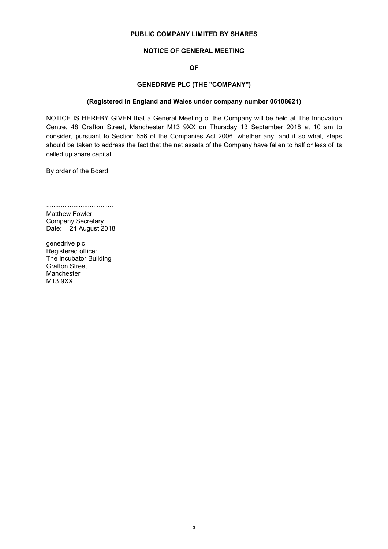## **PUBLIC COMPANY LIMITED BY SHARES**

## **NOTICE OF GENERAL MEETING**

## **OF**

## **GENEDRIVE PLC (THE "COMPANY")**

## **(Registered in England and Wales under company number 06108621)**

NOTICE IS HEREBY GIVEN that a General Meeting of the Company will be held at The Innovation Centre, 48 Grafton Street, Manchester M13 9XX on Thursday 13 September 2018 at 10 am to consider, pursuant to Section 656 of the Companies Act 2006, whether any, and if so what, steps should be taken to address the fact that the net assets of the Company have fallen to half or less of its called up share capital.

By order of the Board

..................................... Matthew Fowler Company Secretary Date: 24 August 2018

genedrive plc Registered office: The Incubator Building Grafton Street Manchester M13 9XX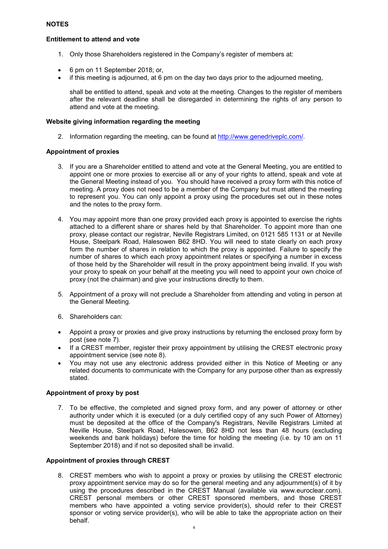## **Entitlement to attend and vote**

- 1. Only those Shareholders registered in the Company's register of members at:
- 6 pm on 11 September 2018; or,
- if this meeting is adjourned, at 6 pm on the day two days prior to the adjourned meeting,

shall be entitled to attend, speak and vote at the meeting. Changes to the register of members after the relevant deadline shall be disregarded in determining the rights of any person to attend and vote at the meeting.

## **Website giving information regarding the meeting**

2. Information regarding the meeting, can be found at http://www.genedriveplc.com/.

## **Appointment of proxies**

- 3. If you are a Shareholder entitled to attend and vote at the General Meeting, you are entitled to appoint one or more proxies to exercise all or any of your rights to attend, speak and vote at the General Meeting instead of you. You should have received a proxy form with this notice of meeting. A proxy does not need to be a member of the Company but must attend the meeting to represent you. You can only appoint a proxy using the procedures set out in these notes and the notes to the proxy form.
- 4. You may appoint more than one proxy provided each proxy is appointed to exercise the rights attached to a different share or shares held by that Shareholder. To appoint more than one proxy, please contact our registrar, Neville Registrars Limited, on 0121 585 1131 or at Neville House, Steelpark Road, Halesowen B62 8HD. You will need to state clearly on each proxy form the number of shares in relation to which the proxy is appointed. Failure to specify the number of shares to which each proxy appointment relates or specifying a number in excess of those held by the Shareholder will result in the proxy appointment being invalid. If you wish your proxy to speak on your behalf at the meeting you will need to appoint your own choice of proxy (not the chairman) and give your instructions directly to them.
- 5. Appointment of a proxy will not preclude a Shareholder from attending and voting in person at the General Meeting.
- 6. Shareholders can:
- Appoint a proxy or proxies and give proxy instructions by returning the enclosed proxy form by post (see note 7).
- If a CREST member, register their proxy appointment by utilising the CREST electronic proxy appointment service (see note 8).
- You may not use any electronic address provided either in this Notice of Meeting or any related documents to communicate with the Company for any purpose other than as expressly stated.

## **Appointment of proxy by post**

7. To be effective, the completed and signed proxy form, and any power of attorney or other authority under which it is executed (or a duly certified copy of any such Power of Attorney) must be deposited at the office of the Company's Registrars, Neville Registrars Limited at Neville House, Steelpark Road, Halesowen, B62 8HD not less than 48 hours (excluding weekends and bank holidays) before the time for holding the meeting (i.e. by 10 am on 11 September 2018) and if not so deposited shall be invalid.

## **Appointment of proxies through CREST**

8. CREST members who wish to appoint a proxy or proxies by utilising the CREST electronic proxy appointment service may do so for the general meeting and any adjournment(s) of it by using the procedures described in the CREST Manual (available via www.euroclear.com). CREST personal members or other CREST sponsored members, and those CREST members who have appointed a voting service provider(s), should refer to their CREST sponsor or voting service provider(s), who will be able to take the appropriate action on their behalf.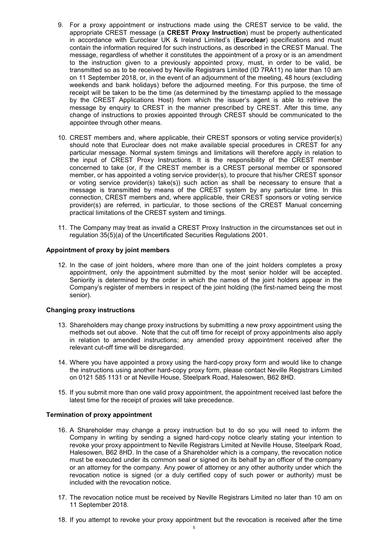- 9. For a proxy appointment or instructions made using the CREST service to be valid, the appropriate CREST message (a **CREST Proxy Instruction**) must be properly authenticated in accordance with Euroclear UK & Ireland Limited's (**Euroclear**) specifications and must contain the information required for such instructions, as described in the CREST Manual. The message, regardless of whether it constitutes the appointment of a proxy or is an amendment to the instruction given to a previously appointed proxy, must, in order to be valid, be transmitted so as to be received by Neville Registrars Limited (ID 7RA11) no later than 10 am on 11 September 2018, or, in the event of an adjournment of the meeting, 48 hours (excluding weekends and bank holidays) before the adjourned meeting. For this purpose, the time of receipt will be taken to be the time (as determined by the timestamp applied to the message by the CREST Applications Host) from which the issuer's agent is able to retrieve the message by enquiry to CREST in the manner prescribed by CREST. After this time, any change of instructions to proxies appointed through CREST should be communicated to the appointee through other means.
- 10. CREST members and, where applicable, their CREST sponsors or voting service provider(s) should note that Euroclear does not make available special procedures in CREST for any particular message. Normal system timings and limitations will therefore apply in relation to the input of CREST Proxy Instructions. It is the responsibility of the CREST member concerned to take (or, if the CREST member is a CREST personal member or sponsored member, or has appointed a voting service provider(s), to procure that his/her CREST sponsor or voting service provider(s) take(s)) such action as shall be necessary to ensure that a message is transmitted by means of the CREST system by any particular time. In this connection, CREST members and, where applicable, their CREST sponsors or voting service provider(s) are referred, in particular, to those sections of the CREST Manual concerning practical limitations of the CREST system and timings.
- 11. The Company may treat as invalid a CREST Proxy Instruction in the circumstances set out in regulation 35(5)(a) of the Uncertificated Securities Regulations 2001.

## **Appointment of proxy by joint members**

12. In the case of joint holders, where more than one of the joint holders completes a proxy appointment, only the appointment submitted by the most senior holder will be accepted. Seniority is determined by the order in which the names of the joint holders appear in the Company's register of members in respect of the joint holding (the first-named being the most senior).

### **Changing proxy instructions**

- 13. Shareholders may change proxy instructions by submitting a new proxy appointment using the methods set out above. Note that the cut off time for receipt of proxy appointments also apply in relation to amended instructions; any amended proxy appointment received after the relevant cut-off time will be disregarded.
- 14. Where you have appointed a proxy using the hard-copy proxy form and would like to change the instructions using another hard-copy proxy form, please contact Neville Registrars Limited on 0121 585 1131 or at Neville House, Steelpark Road, Halesowen, B62 8HD.
- 15. If you submit more than one valid proxy appointment, the appointment received last before the latest time for the receipt of proxies will take precedence.

#### **Termination of proxy appointment**

- 16. A Shareholder may change a proxy instruction but to do so you will need to inform the Company in writing by sending a signed hard-copy notice clearly stating your intention to revoke your proxy appointment to Neville Registrars Limited at Neville House, Steelpark Road, Halesowen, B62 8HD. In the case of a Shareholder which is a company, the revocation notice must be executed under its common seal or signed on its behalf by an officer of the company or an attorney for the company. Any power of attorney or any other authority under which the revocation notice is signed (or a duly certified copy of such power or authority) must be included with the revocation notice.
- 17. The revocation notice must be received by Neville Registrars Limited no later than 10 am on 11 September 2018.
- 18. If you attempt to revoke your proxy appointment but the revocation is received after the time